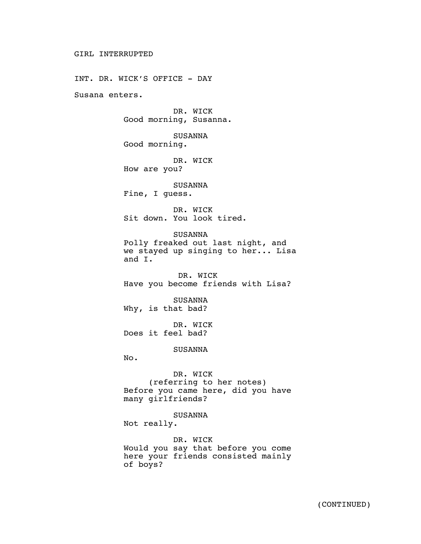INT. DR. WICK'S OFFICE - DAY Susana enters. DR. WICK Good morning, Susanna. SUSANNA Good morning. DR. WICK How are you? SUSANNA Fine, I guess. DR. WICK Sit down. You look tired. SUSANNA Polly freaked out last night, and we stayed up singing to her... Lisa and I. DR. WICK Have you become friends with Lisa? SUSANNA Why, is that bad? DR. WICK Does it feel bad? SUSANNA No. DR. WICK (referring to her notes) Before you came here, did you have many girlfriends? SUSANNA Not really. DR. WICK

Would you say that before you come here your friends consisted mainly of boys?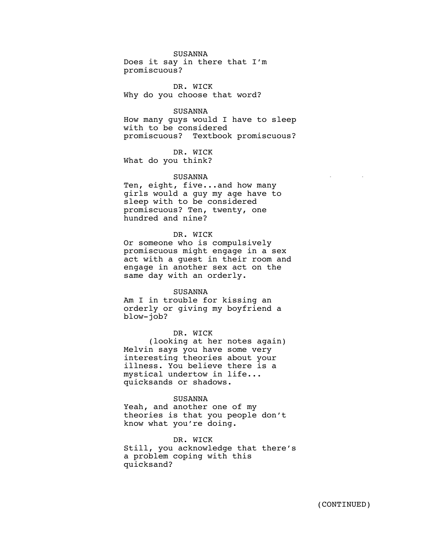# SUSANNA

Does it say in there that I'm promiscuous?

DR. WICK Why do you choose that word?

## SUSANNA

How many guys would I have to sleep with to be considered promiscuous? Textbook promiscuous?

DR. WICK What do you think?

# SUSANNA

Ten, eight, five...and how many girls would a guy my age have to sleep with to be considered promiscuous? Ten, twenty, one hundred and nine?

# DR. WICK

Or someone who is compulsively promiscuous might engage in a sex act with a guest in their room and engage in another sex act on the same day with an orderly.

### SUSANNA

Am I in trouble for kissing an orderly or giving my boyfriend a blow-job?

# DR. WICK

(looking at her notes again) Melvin says you have some very interesting theories about your illness. You believe there is a mystical undertow in life... quicksands or shadows.

### SUSANNA

Yeah, and another one of my theories is that you people don't know what you're doing.

# DR. WICK

Still, you acknowledge that there's a problem coping with this quicksand?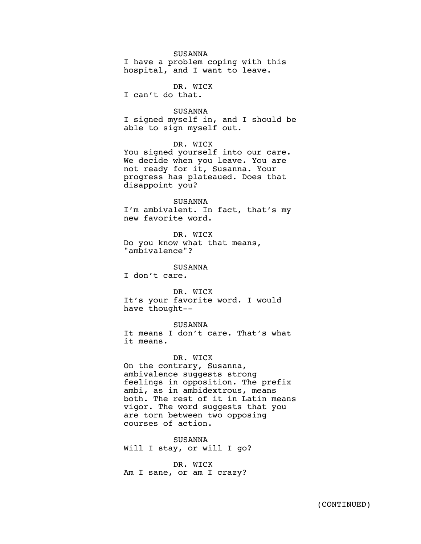# SUSANNA

I have a problem coping with this hospital, and I want to leave.

DR. WICK I can't do that.

SUSANNA

I signed myself in, and I should be able to sign myself out.

DR. WICK

You signed yourself into our care. We decide when you leave. You are not ready for it, Susanna. Your progress has plateaued. Does that disappoint you?

#### SUSANNA

I'm ambivalent. In fact, that's my new favorite word.

DR. WICK Do you know what that means, "ambivalence"?

## SUSANNA

I don't care.

DR. WICK It's your favorite word. I would have thought--

# SUSANNA

It means I don't care. That's what it means.

# DR. WICK

On the contrary, Susanna, ambivalence suggests strong feelings in opposition. The prefix ambi, as in ambidextrous, means both. The rest of it in Latin means vigor. The word suggests that you are torn between two opposing courses of action.

SUSANNA Will I stay, or will I go?

DR. WICK Am I sane, or am I crazy?